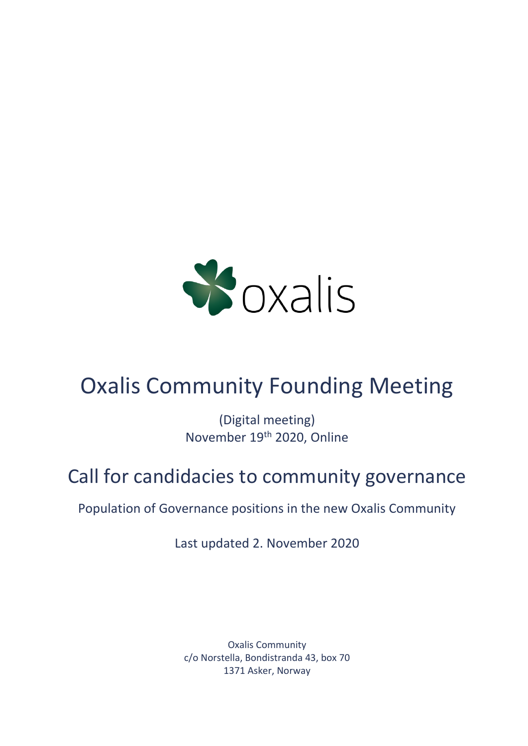

# Oxalis Community Founding Meeting

(Digital meeting) November 19th 2020, Online

## Call for candidacies to community governance

Population of Governance positions in the new Oxalis Community

Last updated 2. November 2020

Oxalis Community c/o Norstella, Bondistranda 43, box 70 1371 Asker, Norway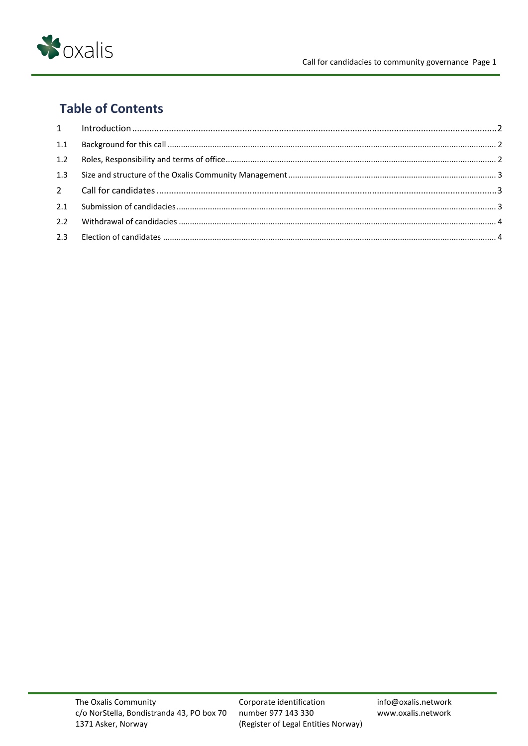

## **Table of Contents**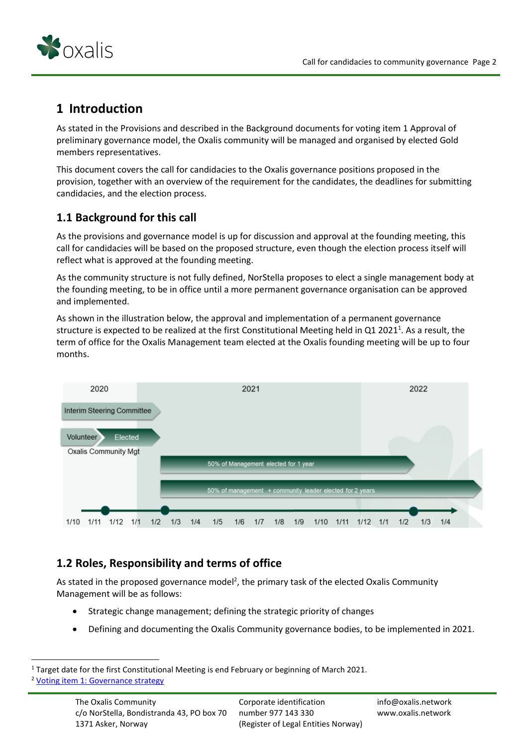

### <span id="page-2-0"></span>**1 Introduction**

As stated in the Provisions and described in the Background documents for voting item 1 Approval of preliminary governance model, the Oxalis community will be managed and organised by elected Gold members representatives.

This document covers the call for candidacies to the Oxalis governance positions proposed in the provision, together with an overview of the requirement for the candidates, the deadlines for submitting candidacies, and the election process.

#### <span id="page-2-1"></span>**1.1 Background for this call**

As the provisions and governance model is up for discussion and approval at the founding meeting, this call for candidacies will be based on the proposed structure, even though the election process itself will reflect what is approved at the founding meeting.

As the community structure is not fully defined, NorStella proposes to elect a single management body at the founding meeting, to be in office until a more permanent governance organisation can be approved and implemented.

As shown in the illustration below, the approval and implementation of a permanent governance structure is expected to be realized at the first Constitutional Meeting held in Q1 2021<sup>1</sup>. As a result, the term of office for the Oxalis Management team elected at the Oxalis founding meeting will be up to four months.



#### <span id="page-2-2"></span>**1.2 Roles, Responsibility and terms of office**

As stated in the proposed governance model<sup>2</sup>, the primary task of the elected Oxalis Community Management will be as follows:

- Strategic change management; defining the strategic priority of changes
- Defining and documenting the Oxalis Community governance bodies, to be implemented in 2021.

<sup>&</sup>lt;sup>1</sup> Target date for the first Constitutional Meeting is end February or beginning of March 2021. <sup>2</sup> [Voting item 1: Governance strategy](https://54e26da9-fbf2-465a-b113-519dff24ebfc.filesusr.com/ugd/7dc7ee_425cc2b3795f40b58176b713dbb30d9c.pdf)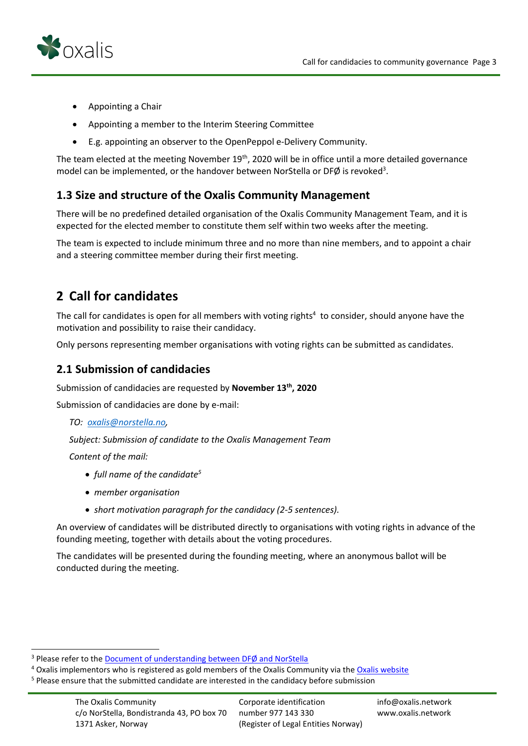

- Appointing a Chair
- Appointing a member to the Interim Steering Committee
- E.g. appointing an observer to the OpenPeppol e-Delivery Community.

The team elected at the meeting November 19<sup>th</sup>, 2020 will be in office until a more detailed governance model can be implemented, or the handover between NorStella or DFØ is revoked<sup>3</sup>.

#### <span id="page-3-0"></span>**1.3 Size and structure of the Oxalis Community Management**

There will be no predefined detailed organisation of the Oxalis Community Management Team, and it is expected for the elected member to constitute them self within two weeks after the meeting.

The team is expected to include minimum three and no more than nine members, and to appoint a chair and a steering committee member during their first meeting.

## <span id="page-3-1"></span>**2 Call for candidates**

The call for candidates is open for all members with voting rights<sup>4</sup> to consider, should anyone have the motivation and possibility to raise their candidacy.

Only persons representing member organisations with voting rights can be submitted as candidates.

#### <span id="page-3-2"></span>**2.1 Submission of candidacies**

Submission of candidacies are requested by **November 13th, 2020**

Submission of candidacies are done by e-mail:

*TO: [oxalis@norstella.no,](mailto:oxalis@norstella.no)* 

*Subject: Submission of candidate to the Oxalis Management Team*

*Content of the mail:*

- *full name of the candidate<sup>5</sup>*
- *member organisation*
- *short motivation paragraph for the candidacy (2-5 sentences).*

An overview of candidates will be distributed directly to organisations with voting rights in advance of the founding meeting, together with details about the voting procedures.

The candidates will be presented during the founding meeting, where an anonymous ballot will be conducted during the meeting.

<sup>&</sup>lt;sup>3</sup> Please refer to the [Document of understanding between DFØ and NorStella](https://54e26da9-fbf2-465a-b113-519dff24ebfc.filesusr.com/ugd/7dc7ee_88cc4183552548d68e8bde2090d5b097.pdf)

<sup>&</sup>lt;sup>4</sup> Oxalis implementors who is registered as gold members of the Oxalis Community via th[e Oxalis website](https://www.oxalis.network/join)